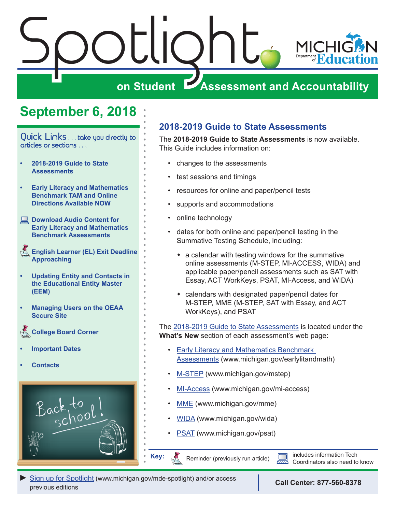<span id="page-0-0"></span>

### **September 6, 2018**

Quick Links . . . take you directly to articles or sections . . .

- **• 2018-2019 Guide to State Assessments**
- **• [Early Literacy and Mathematics](#page-1-0)  [Benchmark TAM and Online](#page-1-0)  [Directions Available NOW](#page-1-0)**
- **Download Audio Content for [Early Literacy and Mathematics](#page-1-0)  [Benchmark Assessments](#page-1-0)**
- *Reminders* **[English Learner \(EL\) Exit Deadline](#page-1-0)  [Approaching](#page-1-0)**
- **• [Updating Entity and Contacts in](#page-2-0)  [the Educational Entity Master](#page-2-0)  [\(EEM\)](#page-2-0)**
- **• [Managing Users on the OEAA](#page-3-0)  [Secure Site](#page-3-0)**
- *<u>Reminders</u>* **[College Board Corner](#page-4-0)**
- **• [Important Dates](#page-6-0)**
- **• [Contacts](#page-7-0)**



### **2018-2019 Guide to State Assessments**

The **2018-2019 Guide to State Assessments** is now available. This Guide includes information on:

- changes to the assessments
- test sessions and timings
- resources for online and paper/pencil tests
- supports and accommodations
- online technology
- dates for both online and paper/pencil testing in the Summative Testing Schedule, including:
	- $\bullet$  a calendar with testing windows for the summative online assessments (M-STEP, MI-ACCESS, WIDA) and applicable paper/pencil assessments such as SAT with Essay, ACT WorkKeys, PSAT, MI-Access, and WIDA)
	- $\bullet$  calendars with designated paper/pencil dates for M-STEP, MME (M-STEP, SAT with Essay, and ACT WorkKeys), and PSAT

The [2018-2019 Guide to State Assessments](https://www.michigan.gov/documents/mde/Guide_to_State_Assessments_622260_7.pdf) is located under the **What's New** section of each assessment's web page:

- [Early Literacy and Mathematics Benchmark](www.michigan.gov/earlylitandmath)  [Assessments](www.michigan.gov/earlylitandmath) (www.michigan.gov/earlylitandmath)
- [M-STEP](www.michigan.gov/mstep) (www.michigan.gov/mstep)
- [MI-Access](http://www.michigan.gov/mi-access) (www.michigan.gov/mi-access)
- [MME](www.michigan.gov/mme) (www.michigan.gov/mme)
- [WIDA](www.michigan.gov/wida) (www.michigan.gov/wida)
- **PSAT** (www.michigan.gov/psat)

Reminder (previously run article) **includes information Tech**<br>Coordinates also need to Coordinators also need to know

*►* [Sign up for Spotlight](https://public.govdelivery.com/accounts/MIMDE/subscriber/new) [\(www.michigan.gov/mde](www.michigan.gov/mde-spotlight)-spotlight) and/or access previous editions **Call Center: 877-560-8378**

**Key:**

Reminders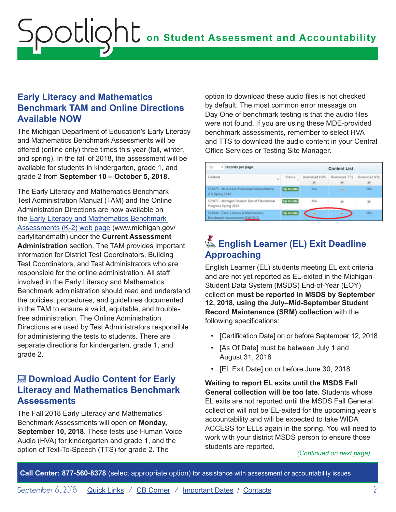### <span id="page-1-0"></span>**Early Literacy and Mathematics Benchmark TAM and Online Directions Available NOW**

The Michigan Department of Education's Early Literacy and Mathematics Benchmark Assessments will be offered (online only) three times this year (fall, winter, and spring). In the fall of 2018, the assessment will be available for students in kindergarten, grade 1, and grade 2 from **September 10 – October 5, 2018**.

The Early Literacy and Mathematics Benchmark Test Administration Manual (TAM) and the Online Administration Directions are now available on the [Early Literacy and Mathematics Benchmark](www.michigan.gov/earlylitandmath)  [Assessments \(K-2\) web page](www.michigan.gov/earlylitandmath) (www.michigan.gov/ earlylitandmath) under the **Current Assessment Administration** section. The TAM provides important information for District Test Coordinators, Building Test Coordinators, and Test Administrators who are responsible for the online administration. All staff involved in the Early Literacy and Mathematics Benchmark administration should read and understand the policies, procedures, and guidelines documented in the TAM to ensure a valid, equitable, and troublefree administration. The Online Administration Directions are used by Test Administrators responsible for administering the tests to students. There are separate directions for kindergarten, grade 1, and grade 2.

### **E. Download Audio Content for Early Literacy and Mathematics Benchmark Assessments**

The Fall 2018 Early Literacy and Mathematics Benchmark Assessments will open on **Monday, September 10, 2018**. These tests use Human Voice Audio (HVA) for kindergarten and grade 1, and the option of Text-To-Speech (TTS) for grade 2. The

option to download these audio files is not checked by default. The most common error message on Day One of benchmark testing is that the audio files were not found. If you are using these MDE-provided benchmark assessments, remember to select HVA and TTS to download the audio content in your Central Office Services or Testing Site Manager.

| 10<br>records per page<br>٠                                              |                   | <b>Content List</b> |                     |              |
|--------------------------------------------------------------------------|-------------------|---------------------|---------------------|--------------|
| Content<br>٠                                                             | <b>Status</b>     | Download HVA        | <b>Download TTS</b> | Download VSL |
| 523875 - MI-Access Functional Independence<br>(FI) Spring 2018           | Up to Date        | NOV.                | ٠                   | NA           |
| 523877 - Michigan Student Test of Educational<br>Progress Spring 2018    | <b>Up to Date</b> | <b>N/A</b>          |                     | ×            |
| 523944 - Early Literacy & Mathematics<br>Benchmark Assessments Fall 2018 | Up to Date        |                     |                     | N/A          |

### **K** English Learner (EL) Exit Deadline **Approaching**

English Learner (EL) students meeting EL exit criteria and are not yet reported as EL-exited in the Michigan Student Data System (MSDS) End-of-Year (EOY) collection **must be reported in MSDS by September 12, 2018, using the July–Mid-September Student Record Maintenance (SRM) collection** with the following specifications:

- [Certification Date] on or before September 12, 2018
- [As Of Date] must be between July 1 and August 31, 2018
- [EL Exit Date] on or before June 30, 2018

**Waiting to report EL exits until the MSDS Fall General collection will be too late.** Students whose EL exits are not reported until the MSDS Fall General collection will not be EL-exited for the upcoming year's accountability and will be expected to take WIDA ACCESS for ELLs again in the spring. You will need to work with your district MSDS person to ensure those students are reported.

*(Continued on next page)*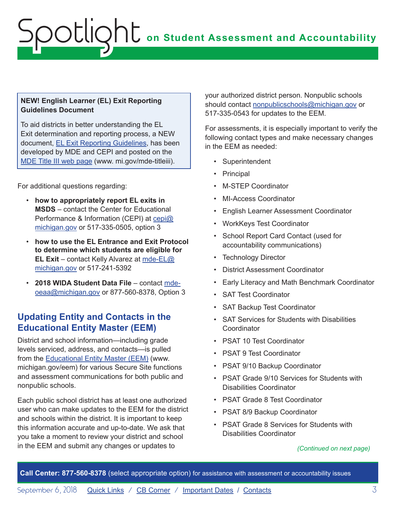### <span id="page-2-0"></span>**NEW! English Learner (EL) Exit Reporting Guidelines Document**

To aid districts in better understanding the EL Exit determination and reporting process, a NEW document, [EL Exit Reporting Guidelines,](https://www.michigan.gov/documents/mde/English_Learner_EL_Exit_Reporting_Guidelines_624626_7.pdf) has been developed by MDE and CEPI and posted on the [MDE Title III web page](http://www.mi.gov/mde-titleiii) (www. mi.gov/mde-titleiii).

For additional questions regarding:

- **how to appropriately report EL exits in MSDS** – contact the Center for Educational Performance & Information (CEPI) at [cepi@](mailto:cepi%40michigan.gov?subject=) [michigan.gov](mailto:cepi%40michigan.gov?subject=) or 517-335-0505, option 3
- **how to use the EL Entrance and Exit Protocol to determine which students are eligible for EL Exit** – contact Kelly Alvarez at [mde-EL@](mailto:mde-EL%40michigan.gov?subject=) [michigan.gov](mailto:mde-EL%40michigan.gov?subject=) or 517-241-5392
- **2018 WIDA Student Data File** contact [mde](mailto:mde-oeaa%40michigan.gov?subject=)[oeaa@michigan.gov](mailto:mde-oeaa%40michigan.gov?subject=) or 877-560-8378, Option 3

### **Updating Entity and Contacts in the Educational Entity Master (EEM)**

District and school information—including grade levels serviced, address, and contacts—is pulled from the [Educational Entity Master \(EEM\)](www.michigan.gov/EEM) (www. michigan.gov/eem) for various Secure Site functions and assessment communications for both public and nonpublic schools.

Each public school district has at least one authorized user who can make updates to the EEM for the district and schools within the district. It is important to keep this information accurate and up-to-date. We ask that you take a moment to review your district and school in the EEM and submit any changes or updates to *(Continued on next page)*

your authorized district person. Nonpublic schools should contact [nonpublicschools@michigan.gov](mailto:nonpublicschools%40michigan.gov?subject=) or 517-335-0543 for updates to the EEM.

For assessments, it is especially important to verify the following contact types and make necessary changes in the EEM as needed:

- Superintendent
- Principal
- M-STEP Coordinator
- MI-Access Coordinator
- English Learner Assessment Coordinator
- WorkKeys Test Coordinator
- School Report Card Contact (used for accountability communications)
- Technology Director
- District Assessment Coordinator
- Early Literacy and Math Benchmark Coordinator
- SAT Test Coordinator
- SAT Backup Test Coordinator
- SAT Services for Students with Disabilities **Coordinator**
- PSAT 10 Test Coordinator
- PSAT 9 Test Coordinator
- PSAT 9/10 Backup Coordinator
- PSAT Grade 9/10 Services for Students with Disabilities Coordinator
- PSAT Grade 8 Test Coordinator
- PSAT 8/9 Backup Coordinator
- PSAT Grade 8 Services for Students with Disabilities Coordinator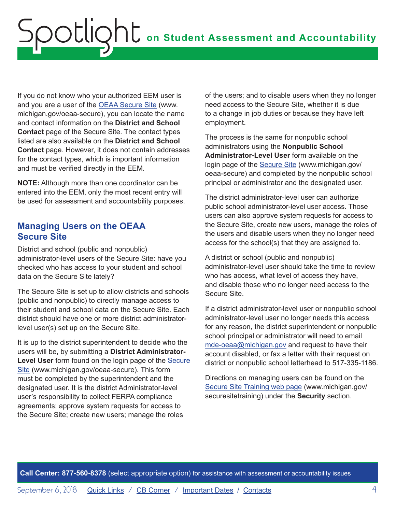<span id="page-3-0"></span>If you do not know who your authorized EEM user is and you are a user of the [OEAA Secure Site](http://www.michigan.gov/oeaa-secure) (www. michigan.gov/oeaa-secure), you can locate the name and contact information on the **District and School Contact** page of the Secure Site. The contact types listed are also available on the **District and School Contact** page. However, it does not contain addresses for the contact types, which is important information and must be verified directly in the EEM.

**NOTE:** Although more than one coordinator can be entered into the EEM, only the most recent entry will be used for assessment and accountability purposes.

### **Managing Users on the OEAA Secure Site**

District and school (public and nonpublic) administrator-level users of the Secure Site: have you checked who has access to your student and school data on the Secure Site lately?

The Secure Site is set up to allow districts and schools (public and nonpublic) to directly manage access to their student and school data on the Secure Site. Each district should have one or more district administratorlevel user(s) set up on the Secure Site.

It is up to the district superintendent to decide who the users will be, by submitting a **District Administrator-Level User** form found on the login page of the [Secure](http://www.michigan.gov/oeaa-secure)  [Site](http://www.michigan.gov/oeaa-secure) (www.michigan.gov/oeaa-secure). This form must be completed by the superintendent and the designated user. It is the district Administrator-level user's responsibility to collect FERPA compliance agreements; approve system requests for access to the Secure Site; create new users; manage the roles

of the users; and to disable users when they no longer need access to the Secure Site, whether it is due to a change in job duties or because they have left employment.

The process is the same for nonpublic school administrators using the **Nonpublic School Administrator-Level User** form available on the login page of the [Secure Site](http://www.michigan.gov/oeaa-secure) (www.michigan.gov/ oeaa-secure) and completed by the nonpublic school principal or administrator and the designated user.

The district administrator-level user can authorize public school administrator-level user access. Those users can also approve system requests for access to the Secure Site, create new users, manage the roles of the users and disable users when they no longer need access for the school(s) that they are assigned to.

A district or school (public and nonpublic) administrator-level user should take the time to review who has access, what level of access they have, and disable those who no longer need access to the Secure Site.

If a district administrator-level user or nonpublic school administrator-level user no longer needs this access for any reason, the district superintendent or nonpublic school principal or administrator will need to email [mde-oeaa@michigan.gov](mailto:mde-oeaa%40michigan.gov?subject=) and request to have their account disabled, or fax a letter with their request on district or nonpublic school letterhead to 517-335-1186.

Directions on managing users can be found on the [Secure Site Training web page](http://www.michigan.gov/securesitetraining) (www.michigan.gov/ securesitetraining) under the **Security** section.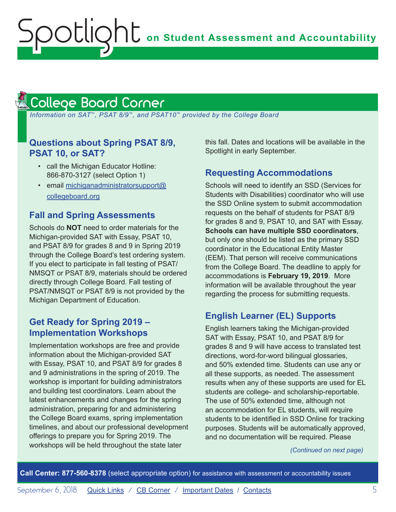#### <span id="page-4-1"></span>College Board Corner **Reminders**

<span id="page-4-0"></span>Spotlight

 *Information on SAT*™*, PSAT 8/9*™*, and PSAT10*™ *provided by the College Board*

### **Questions about Spring PSAT 8/9, PSAT 10, or SAT?**

- call the Michigan Educator Hotline: 866-870-3127 (select Option 1)
- email [michiganadministratorsupport@](mailto:michiganadministratorsupport%40collegeboard.org?subject=) [collegeboard.org](mailto:michiganadministratorsupport%40collegeboard.org?subject=)

### **Fall and Spring Assessments**

Schools do **NOT** need to order materials for the Michigan-provided SAT with Essay, PSAT 10, and PSAT 8/9 for grades 8 and 9 in Spring 2019 through the College Board's test ordering system. If you elect to participate in fall testing of PSAT/ NMSQT or PSAT 8/9, materials should be ordered directly through College Board. Fall testing of PSAT/NMSQT or PSAT 8/9 is not provided by the Michigan Department of Education.

### **Get Ready for Spring 2019 – Implementation Workshops**

Implementation workshops are free and provide information about the Michigan-provided SAT with Essay, PSAT 10, and PSAT 8/9 for grades 8 and 9 administrations in the spring of 2019. The workshop is important for building administrators and building test coordinators. Learn about the latest enhancements and changes for the spring administration, preparing for and administering the College Board exams, spring implementation timelines, and about our professional development offerings to prepare you for Spring 2019. The workshops will be held throughout the state later

this fall. Dates and locations will be available in the Spotlight in early September.

### **Requesting Accommodations**

Schools will need to identify an SSD (Services for Students with Disabilities) coordinator who will use the SSD Online system to submit accommodation requests on the behalf of students for PSAT 8/9 for grades 8 and 9, PSAT 10, and SAT with Essay. **Schools can have multiple SSD coordinators**, but only one should be listed as the primary SSD coordinator in the Educational Entity Master (EEM). That person will receive communications from the College Board. The deadline to apply for accommodations is **February 19, 2019**. More information will be available throughout the year regarding the process for submitting requests.

### **English Learner (EL) Supports**

English learners taking the Michigan-provided SAT with Essay, PSAT 10, and PSAT 8/9 for grades 8 and 9 will have access to translated test directions, word-for-word bilingual glossaries, and 50% extended time. Students can use any or all these supports, as needed. The assessment results when any of these supports are used for EL students are college- and scholarship-reportable. The use of 50% extended time, although not an accommodation for EL students, will require students to be identified in SSD Online for tracking purposes. Students will be automatically approved, and no documentation will be required. Please

*(Continued on next page)*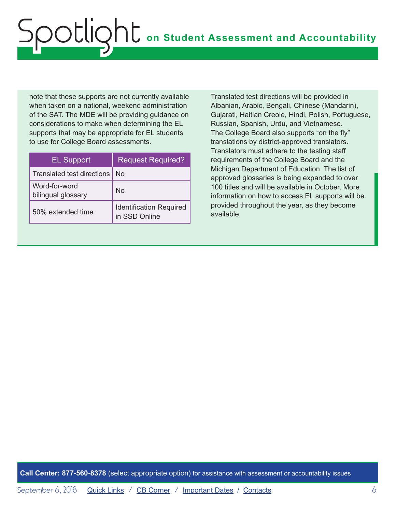note that these supports are not currently available when taken on a national, weekend administration of the SAT. The MDE will be providing guidance on considerations to make when determining the EL supports that may be appropriate for EL students to use for College Board assessments.

| <b>EL Support</b>                   | <b>Request Required?</b>                        |
|-------------------------------------|-------------------------------------------------|
| <b>Translated test directions</b>   | N٥                                              |
| Word-for-word<br>bilingual glossary | No                                              |
| 50% extended time                   | <b>Identification Required</b><br>in SSD Online |

Translated test directions will be provided in Albanian, Arabic, Bengali, Chinese (Mandarin), Gujarati, Haitian Creole, Hindi, Polish, Portuguese, Russian, Spanish, Urdu, and Vietnamese. The College Board also supports "on the fly" translations by district-approved translators. Translators must adhere to the testing staff requirements of the College Board and the Michigan Department of Education. The list of approved glossaries is being expanded to over 100 titles and will be available in October. More information on how to access EL supports will be provided throughout the year, as they become available.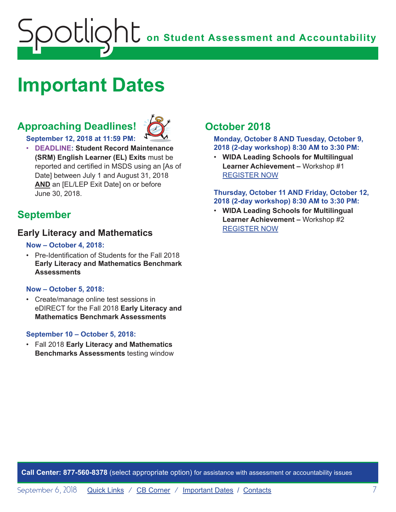## <span id="page-6-0"></span>**on Student Assessment and Accountability** Spotlight

### <span id="page-6-1"></span>**Important Dates**

### **Approaching Deadlines!**



**September 12, 2018 at 11:59 PM:** 

• **DEADLINE: Student Record Maintenance (SRM) English Learner (EL) Exits** must be reported and certified in MSDS using an [As of Date] between July 1 and August 31, 2018 **AND** an [EL/LEP Exit Date] on or before June 30, 2018.

### **September**

### **Early Literacy and Mathematics**

#### **Now – October 4, 2018:**

• Pre-Identification of Students for the Fall 2018 **Early Literacy and Mathematics Benchmark Assessments**

### **Now – October 5, 2018:**

• Create/manage online test sessions in eDIRECT for the Fall 2018 **Early Literacy and Mathematics Benchmark Assessments**

### **September 10 – October 5, 2018:**

• Fall 2018 **Early Literacy and Mathematics Benchmarks Assessments** testing window

### **October 2018**

**Monday, October 8 AND Tuesday, October 9, 2018 (2-day workshop) 8:30 AM to 3:30 PM:**

• **WIDA Leading Schools for Multilingual Learner Achievement –** Workshop #1 [REGISTER NOW](https://www.eventbrite.com/e/leading-schools-for-multilingual-learner-achievement-registration-46676636075)

#### **Thursday, October 11 AND Friday, October 12, 2018 (2-day workshop) 8:30 AM to 3:30 PM:**

• **WIDA Leading Schools for Multilingual Learner Achievement –** Workshop #2 [REGISTER NOW](https://www.eventbrite.com/e/leading-schools-for-multilingual-learner-achievement-tickets-46676638081)